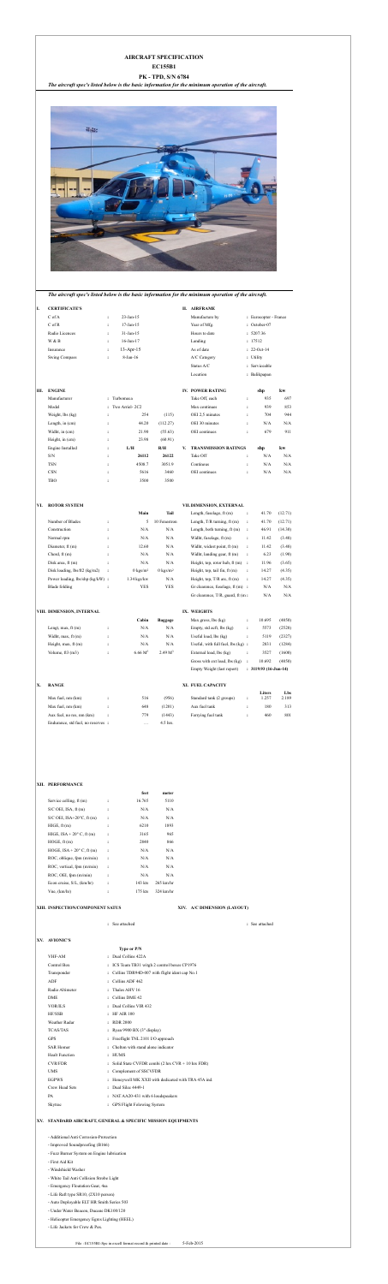# **AIRCRAFT SPECIFICATION**

## **EC155B1**

# **PK - TPD, S/N 6784**

*The aircraft spec's listed below is the basic information for the minimum operation of the aircraft.*



*The aircraft spec's listed below is the basic information for the minimum operation of the aircraft.*

## **I. CERTIFICATE'S II. AIRFRAME**

| C of A               | $\ddot{\cdot}$ | $23$ -Jan-15    | Manufacture by | : Eurocopter - France |
|----------------------|----------------|-----------------|----------------|-----------------------|
| C of R               | $\ddot{\cdot}$ | $17$ -Jan- $15$ | Year of Mfg.   | : October-07          |
| Radio Licences       | $\ddot{\cdot}$ | $31$ -Jan-15    | Hours to date  | : 5207:36             |
| W & B                | $\ddot{\cdot}$ | $16$ -Jun- $17$ | Landing        | : 17512               |
| Insurance            | $\ddot{\cdot}$ | $13$ -Apr-15    | As of date     | $: 22-Oct-14$         |
| <b>Swing Compass</b> | $\ddot{\cdot}$ | $8$ -Jan-16     | A/C Category   | : Utility             |
|                      |                |                 | Status A/C     | : Serviceable         |
|                      |                |                 | Location       | : Balikpapan          |
|                      |                |                 |                |                       |

| $C$ of A             | $\ddot{\cdot}$ | $23$ -Jan-15    | Manufacture by | : Eurocopter            |
|----------------------|----------------|-----------------|----------------|-------------------------|
| $C$ of R             | $\bullet$      | 17-Jan-15       | Year of Mfg.   | $\therefore$ October-07 |
| Radio Licences       | $\ddot{\cdot}$ | $31$ -Jan-15    | Hours to date  | : 5207:36               |
| W & B                | $\bullet$      | $16$ -Jun- $17$ | Landing        | : 17512                 |
| Insurance            | $\ddot{\cdot}$ | $13$ -Apr-15    | As of date     | $: 22-Oct-14$           |
| <b>Swing Compass</b> | $\ddot{\cdot}$ | $8$ -Jan-16     | A/C Category   | : Utility               |
|                      |                |                 |                |                         |

| Ш. | <b>ENGINE</b>       |           |                    |          | <b>IV. POWER RATING</b> |                      | shp | kw  |
|----|---------------------|-----------|--------------------|----------|-------------------------|----------------------|-----|-----|
|    | Manufacturer        |           | : Turbomeca        |          | Take Off, each          | $\ddot{\phantom{1}}$ | 935 | 697 |
|    | Model               |           | $:$ Two Arriel-2C2 |          | Max continues           | ٠                    | 939 | 853 |
|    | Weight, $\log$ (kg) | ٠         | 254                | (115)    | OEI 2.5 minutes         |                      | 704 | 944 |
|    | Length, in $(cm)$   | $\bullet$ | 44.20              | (112.27) | OEI 30 minutes          | $\ddot{\phantom{a}}$ | N/A | N/A |
|    | Widht, in (cm)      | ٠         | 21.90              | (55.63)  | OEI continues           | $\ddot{\cdot}$       | 679 | 911 |
|    | Height, in (cm)     |           | 23.98              | (60.91)  |                         |                      |     |     |

| Engine Installed |                | L/H    | R/H    | <b>TRANSMISSION RATINGS</b><br>V. | shp | kw  |
|------------------|----------------|--------|--------|-----------------------------------|-----|-----|
| S/N              |                | 26112  | 26122  | Take Off                          | N/A | N/A |
| <b>TSN</b>       |                | 4508.7 | 3051.9 | Continous                         | N/A | N/A |
| <b>CSN</b>       | $\ddot{\cdot}$ | 5616   | 3460   | <b>OEI</b> continues              | N/A | N/A |
| TBO              |                | 3500   | 3500   |                                   |     |     |

## **VI. ROTOR SYSTEM VII.DIMENSION, EXTERNAL**

|                                        |                | Main                | Tail                | Length, fuselage, ft (m)            | $\ddot{\cdot}$       | 41.70 | (12.71) |
|----------------------------------------|----------------|---------------------|---------------------|-------------------------------------|----------------------|-------|---------|
| Number of Blades                       | $\ddot{\cdot}$ | 5                   | 10 Fenestron        | Length, $T/R$ turning, $ft(m)$      | $\ddot{\cdot}$       | 41.70 | (12.71) |
| Construction                           | $\ddot{\cdot}$ | N/A                 | N/A                 | Length, both turning, $ft(m)$       | $\ddot{\cdot}$       | 46.91 | (14.30) |
| Normal rpm                             | :              | N/A                 | N/A                 | Widht, fuselage, ft (m)             | $\ddot{\cdot}$       | 11.42 | (3.48)  |
| Diameter, $ft(m)$                      | $\ddot{\cdot}$ | 12.60               | N/A                 | Widht, widest point, ft (m)         | $\ddot{\cdot}$       | 11.42 | (3.48)  |
| Chord, $ft(m)$                         | $\ddot{\cdot}$ | N/A                 | N/A                 | Widht, landing gear, ft (m)         | $\ddot{\cdot}$       | 6.23  | (1.90)  |
| Disk area, $ft(m)$                     | $\ddot{\cdot}$ | N/A                 | N/A                 | Height, top, rotor hub, ft (m)      | $\cdot$ :            | 11.96 | (3.65)  |
| Disk loading, $\frac{1}{2}$ (kg/m2)    | $\ddot{\cdot}$ | $0 \text{ kgs/m}^2$ | $0 \text{ kgs/m}^2$ | Height, top, tail fin, ft (m)       | $\ddot{\phantom{a}}$ | 14.27 | (4.35)  |
| Power loading, $\frac{1}{s}$ (kg/kW) : |                | $1.34$ kgs/kw       | N/A                 | Height, top, $T/R$ arc, ft $(m)$    | $\ddot{\phantom{a}}$ | 14.27 | (4.35)  |
| Blade folding                          | :              | <b>YES</b>          | <b>YES</b>          | Gr clearence, fuselage, $ft(m)$ :   |                      | N/A   | N/A     |
|                                        |                |                     |                     | Gr clearence, $T/R$ , guard, ft (m: |                      | N/A   | N/A     |
|                                        |                |                     |                     |                                     |                      |       |         |

## **VIII. DIMENSION, INTERNAL IX. WEIGHTS**

| <b>DIMENSION, INTERNAL</b> |   |                     |                     | IX. WEIGHTS                               |                |        |        |
|----------------------------|---|---------------------|---------------------|-------------------------------------------|----------------|--------|--------|
|                            |   | Cabin               | Baggage             | Max gross, $\{ \text{ls } (\text{kg}) \}$ | $\ddot{\cdot}$ | 10.695 | (4850) |
| Lengt, max, $ft(m)$        | ٠ | N/A                 | N/A                 | Empty, std acft, lbs (kg)                 |                | 5573   | (2528) |
| Widht, max, $ft(m)$        | ٠ | N/A                 | N/A                 | Useful load, $\{bs (kg)\}$                |                | 5119   | (2327) |
| Height, max, $ft(m)$       | ٠ | N/A                 | N/A                 | Useful, with full fuel, $\log(kg)$ :      |                | 2831   | (1284) |
| Volume, $ft3(m3)$          | ٠ | 6.66 M <sup>3</sup> | 2.49 M <sup>3</sup> | External load, lbs (kg)                   | $\ddot{\cdot}$ | 3527   | (1600) |
|                            |   |                     |                     |                                           |                |        |        |

| Empty Weight (last report)                      |   | $: 3119.93(16\text{-Jun-14})$ |        |
|-------------------------------------------------|---|-------------------------------|--------|
| Gross with ext load, lbs (kg)                   | : | 10.692                        | (4850) |
| External load, lbs (kg)                         | ። | 3527                          | (1600) |
| Useful, with full fuel, $\{ \text{ls}(kg) \}$ : |   | 2831                          | (1284) |
| Useful load, $\{bs (kg)\}$                      |   | 5119                          | (2327) |
| Empty, std acft, lbs (kg)                       | ፡ | 5573                          | (2528) |
| Max gross, $\{ \text{ls } (\text{kg}) \}$       |   | 10.695                        | (4850) |

# **X. RANGE XI. FUEL CAPACITY**

**Liters Lbs**

| Max fuel, nm (km)                  | 516       | (956)    | Standard tank (2 groups) | 257،، | 2.189 |
|------------------------------------|-----------|----------|--------------------------|-------|-------|
| Max fuel, nm (km)                  | 648       | (1201)   | Aux fuel tank            | 180   | 313   |
| Aux fuel, no res, nm (km)          | 779       | (1443)   | Ferrying fuel tank       | 460   | 801   |
| Endurance, std fuel, no reserves : | $\ddotsc$ | 4.5 hrs. |                          |       |       |

### **XII. PERFORMANCE**

|                                                              |                | feet                                                        | meter       |                             |                |  |
|--------------------------------------------------------------|----------------|-------------------------------------------------------------|-------------|-----------------------------|----------------|--|
| Service celling, ft (m)                                      | $\ddot{\cdot}$ | 16.765                                                      | 5110        |                             |                |  |
| S/C OEI, ISA, ft (m)                                         | $\ddot{\cdot}$ | N/A                                                         | $\rm N/A$   |                             |                |  |
| S/C OEI, ISA+20 $\degree$ C, ft (m)                          | $\ddot{\cdot}$ | $\rm N/A$                                                   | $\rm N/A$   |                             |                |  |
| HIGE, ft(m)                                                  | $\ddot{\cdot}$ | 6210                                                        | 1893        |                             |                |  |
| HIGE, $ISA + 20^{\circ}$ C, ft (m)                           | $\ddot{\cdot}$ | 3165                                                        | 965         |                             |                |  |
| HOGE, ft(m)                                                  | $\ddot{\cdot}$ | 2840                                                        | 866         |                             |                |  |
| HOGE, $ISA + 20^{\circ}$ C, ft (m)                           | $\ddot{\cdot}$ | $\rm N/A$                                                   | $\rm N/A$   |                             |                |  |
| ROC, oblique, fpm (m/min)                                    | $\ddot{\cdot}$ | N/A                                                         | $\rm N/A$   |                             |                |  |
| ROC, vertical, fpm (m/min)                                   | $\ddot{\cdot}$ | $\rm N/A$                                                   | $\rm N/A$   |                             |                |  |
| ROC, OEI, fpm (m/min)                                        | $\ddot{\cdot}$ | $\rm N/A$                                                   | $\rm N/A$   |                             |                |  |
| Econ cruise, S/L, (km/hr)                                    | $\ddot{\cdot}$ | 143 kts                                                     | $265$ km/hr |                             |                |  |
| Vne, (km/hr)                                                 | $\ddot{\cdot}$ | 175 kts                                                     | 324 km/hr   |                             |                |  |
|                                                              |                |                                                             |             |                             |                |  |
| XIII. INSPECTION/COMPONENT SATUS                             |                |                                                             |             | XIV. A/C DIMENSION (LAYOUT) |                |  |
|                                                              |                | : See attached                                              |             |                             | : See attached |  |
|                                                              |                |                                                             |             |                             |                |  |
| XV. AVIONIC'S                                                |                |                                                             |             |                             |                |  |
|                                                              |                | Type or P/N                                                 |             |                             |                |  |
| VHF-AM                                                       |                | : Dual Collins 422A                                         |             |                             |                |  |
| Control Box                                                  |                | : ICS Team TB31 witgh 2 control boxes CP1976                |             |                             |                |  |
| Transponder                                                  |                | : Collins TDR94D-007 with flight ident cap No.1             |             |                             |                |  |
| ${\rm ADF}$                                                  |                | : Collins ADF 462                                           |             |                             |                |  |
| Radio Altimeter                                              |                | : Thales AHV 16                                             |             |                             |                |  |
| ${\rm DME}$                                                  |                | : Collins DME 42                                            |             |                             |                |  |
| VOR/ILS                                                      |                | : Dual Collins VIR 432                                      |             |                             |                |  |
| HF/SSB                                                       |                | : HF AIR 100                                                |             |                             |                |  |
| Weather Radar                                                | : RDR 2000     |                                                             |             |                             |                |  |
| <b>TCAS/TAS</b>                                              |                | : Ryan 9900 BX (3" display)                                 |             |                             |                |  |
| <b>GPS</b>                                                   |                | : Freeflight TNL 2101 I/O approach                          |             |                             |                |  |
| <b>SAR Homer</b>                                             |                | : Chelton with stand alone indicator                        |             |                             |                |  |
| <b>Healt Function</b>                                        | : HUMS         |                                                             |             |                             |                |  |
| <b>CVR/FDR</b>                                               |                | : Solid State CVFDR combi (2 hrs CVR + 10 hrs FDR)          |             |                             |                |  |
| <b>UMS</b>                                                   |                | : Complement of SSCVFDR                                     |             |                             |                |  |
| <b>EGPWS</b>                                                 |                | : Honeywell MK XXII with dedicated with TRA 45A ind.        |             |                             |                |  |
| Crew Head Sets                                               |                | : Dual Silec 4449-1                                         |             |                             |                |  |
| PA                                                           |                | : NAT AA20-431 with 6 loudspeakers                          |             |                             |                |  |
| Skytrac                                                      |                | : GPS Flight Folowing System                                |             |                             |                |  |
| XV. STANDARD AIRCRAFT, GENERAL & SPECIFIC MISSION EQUIPMENTS |                |                                                             |             |                             |                |  |
|                                                              |                |                                                             |             |                             |                |  |
| - Additional Anti Corrosion-Protection                       |                |                                                             |             |                             |                |  |
| - Improved Soundproofing (B166)                              |                |                                                             |             |                             |                |  |
| - Fuzz Burner System on Engine lubrication                   |                |                                                             |             |                             |                |  |
| - First Aid Kit                                              |                |                                                             |             |                             |                |  |
| - Windshield Washer                                          |                |                                                             |             |                             |                |  |
| - White Tail Anti Collision Strobe Light                     |                |                                                             |             |                             |                |  |
| - Emergency Floatation Gear, 4ea                             |                |                                                             |             |                             |                |  |
| - Life Raft type SR10, (2X10 person)                         |                |                                                             |             |                             |                |  |
| - Auto Deployable ELT HR Smith Series 503                    |                |                                                             |             |                             |                |  |
| - Under Water Beacon, Ducane DK100/120                       |                |                                                             |             |                             |                |  |
| - Helicopter Emergency Egres Lighting (HEEL)                 |                |                                                             |             |                             |                |  |
| - Life Jackets for Crew & Pax.                               |                |                                                             |             |                             |                |  |
|                                                              |                |                                                             |             | 5-Feb-2015                  |                |  |
|                                                              |                | File : EC155B1-Spc in excell format record & printed date : |             |                             |                |  |